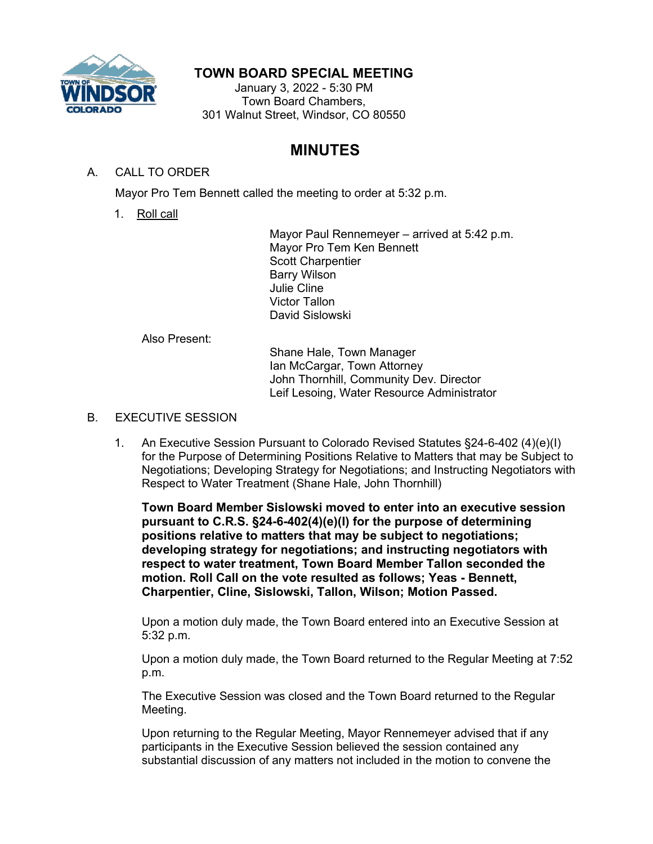

## **TOWN BOARD SPECIAL MEETING**

January 3, 2022 - 5:30 PM Town Board Chambers, 301 Walnut Street, Windsor, CO 80550

## **MINUTES**

## A. CALL TO ORDER

Mayor Pro Tem Bennett called the meeting to order at 5:32 p.m.

1. Roll call

Mayor Paul Rennemeyer – arrived at 5:42 p.m. Mayor Pro Tem Ken Bennett Scott Charpentier Barry Wilson Julie Cline Victor Tallon David Sislowski

Also Present:

Shane Hale, Town Manager Ian McCargar, Town Attorney John Thornhill, Community Dev. Director Leif Lesoing, Water Resource Administrator

- B. EXECUTIVE SESSION
	- 1. An Executive Session Pursuant to Colorado Revised Statutes §24-6-402 (4)(e)(I) for the Purpose of Determining Positions Relative to Matters that may be Subject to Negotiations; Developing Strategy for Negotiations; and Instructing Negotiators with Respect to Water Treatment (Shane Hale, John Thornhill)

**Town Board Member Sislowski moved to enter into an executive session pursuant to C.R.S. §24-6-402(4)(e)(I) for the purpose of determining positions relative to matters that may be subject to negotiations; developing strategy for negotiations; and instructing negotiators with respect to water treatment, Town Board Member Tallon seconded the motion. Roll Call on the vote resulted as follows; Yeas - Bennett, Charpentier, Cline, Sislowski, Tallon, Wilson; Motion Passed.**

Upon a motion duly made, the Town Board entered into an Executive Session at 5:32 p.m.

Upon a motion duly made, the Town Board returned to the Regular Meeting at 7:52 p.m.

The Executive Session was closed and the Town Board returned to the Regular Meeting.

Upon returning to the Regular Meeting, Mayor Rennemeyer advised that if any participants in the Executive Session believed the session contained any substantial discussion of any matters not included in the motion to convene the